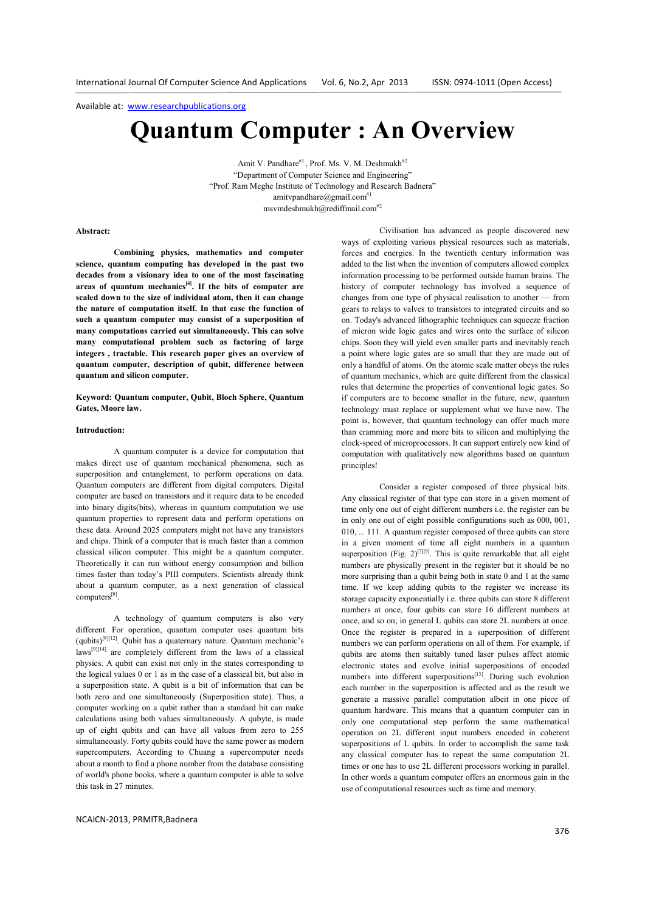# **Quantum Computer : An Overview**

Amit V. Pandhare<sup>#1</sup>, Prof. Ms. V. M. Deshmukh<sup>#2</sup> "Department of Computer Science and Engineering" "Prof. Ram Meghe Institute of Technology and Research Badnera" amitypandhare@gmail.com<sup>#1</sup> msvmdeshmukh@rediffmail.com $*^2$ 

## **Abstract:**

**Combining physics, mathematics and computer science, quantum computing has developed in the past two decades from a visionary idea to one of the most fascinating areas of quantum mechanics[4]. If the bits of computer are scaled down to the size of individual atom, then it can change the nature of computation itself. In that case the function of such a quantum computer may consist of a superposition of many computations carried out simultaneously. This can solve many computational problem such as factoring of large integers , tractable. This research paper gives an overview of quantum computer, description of qubit, difference between quantum and silicon computer.** 

## **Keyword: Quantum computer, Qubit, Bloch Sphere, Quantum Gates, Moore law.**

#### **Introduction:**

A quantum computer is a device for computation that makes direct use of quantum mechanical phenomena, such as superposition and entanglement, to perform operations on data. Quantum computers are different from digital computers. Digital computer are based on transistors and it require data to be encoded into binary digits(bits), whereas in quantum computation we use quantum properties to represent data and perform operations on these data. Around 2025 computers might not have any transistors and chips. Think of a computer that is much faster than a common classical silicon computer. This might be a quantum computer. Theoretically it can run without energy consumption and billion times faster than today's PIII computers. Scientists already think about a quantum computer, as a next generation of classical computers<sup>[9]</sup>.

A technology of quantum computers is also very different. For operation, quantum computer uses quantum bits (qubits)[9][12]. Qubit has a quaternary nature. Quantum mechanic's laws[9][14] are completely different from the laws of a classical physics. A qubit can exist not only in the states corresponding to the logical values 0 or 1 as in the case of a classical bit, but also in a superposition state. A qubit is a bit of information that can be both zero and one simultaneously (Superposition state). Thus, a computer working on a qubit rather than a standard bit can make calculations using both values simultaneously. A qubyte, is made up of eight qubits and can have all values from zero to 255 simultaneously. Forty qubits could have the same power as modern supercomputers. According to Chuang a supercomputer needs about a month to find a phone number from the database consisting of world's phone books, where a quantum computer is able to solve this task in 27 minutes.

Civilisation has advanced as people discovered new ways of exploiting various physical resources such as materials, forces and energies. In the twentieth century information was added to the list when the invention of computers allowed complex information processing to be performed outside human brains. The history of computer technology has involved a sequence of changes from one type of physical realisation to another — from gears to relays to valves to transistors to integrated circuits and so on. Today's advanced lithographic techniques can squeeze fraction of micron wide logic gates and wires onto the surface of silicon chips. Soon they will yield even smaller parts and inevitably reach a point where logic gates are so small that they are made out of only a handful of atoms. On the atomic scale matter obeys the rules of quantum mechanics, which are quite different from the classical rules that determine the properties of conventional logic gates. So if computers are to become smaller in the future, new, quantum technology must replace or supplement what we have now. The point is, however, that quantum technology can offer much more than cramming more and more bits to silicon and multiplying the clock-speed of microprocessors. It can support entirely new kind of computation with qualitatively new algorithms based on quantum principles!

Consider a register composed of three physical bits. Any classical register of that type can store in a given moment of time only one out of eight different numbers i.e. the register can be in only one out of eight possible configurations such as 000, 001, 010, ... 111. A quantum register composed of three qubits can store in a given moment of time all eight numbers in a quantum superposition (Fig. 2)<sup>[7][9]</sup>. This is quite remarkable that all eight numbers are physically present in the register but it should be no more surprising than a qubit being both in state 0 and 1 at the same time. If we keep adding qubits to the register we increase its storage capacity exponentially i.e. three qubits can store 8 different numbers at once, four qubits can store 16 different numbers at once, and so on; in general L qubits can store 2L numbers at once. Once the register is prepared in a superposition of different numbers we can perform operations on all of them. For example, if qubits are atoms then suitably tuned laser pulses affect atomic electronic states and evolve initial superpositions of encoded numbers into different superpositions<sup>[13]</sup>. During such evolution each number in the superposition is affected and as the result we generate a massive parallel computation albeit in one piece of quantum hardware. This means that a quantum computer can in only one computational step perform the same mathematical operation on 2L different input numbers encoded in coherent superpositions of L qubits. In order to accomplish the same task any classical computer has to repeat the same computation 2L times or one has to use 2L different processors working in parallel. In other words a quantum computer offers an enormous gain in the use of computational resources such as time and memory.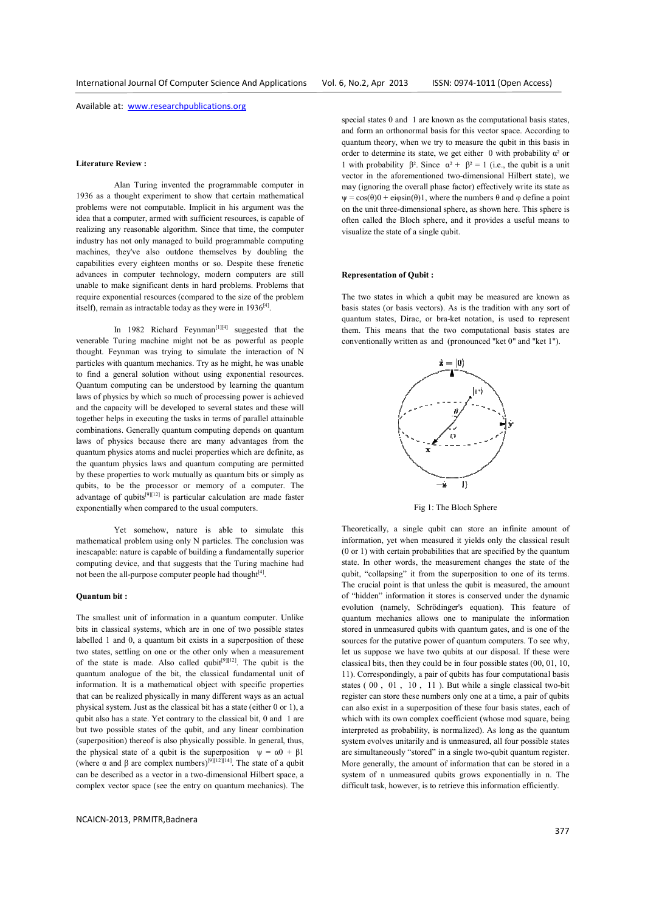## **Literature Review :**

Alan Turing invented the programmable computer in 1936 as a thought experiment to show that certain mathematical problems were not computable. Implicit in his argument was the idea that a computer, armed with sufficient resources, is capable of realizing any reasonable algorithm. Since that time, the computer industry has not only managed to build programmable computing machines, they've also outdone themselves by doubling the capabilities every eighteen months or so. Despite these frenetic advances in computer technology, modern computers are still unable to make significant dents in hard problems. Problems that require exponential resources (compared to the size of the problem itself), remain as intractable today as they were in  $1936^{[4]}$ . Alan Turing invented the programmable compute<br>as a thought experiment to show that certain mathema<br>ms were not computable. Implicit in his argument was<br>nat a computer, armed with sufficient resources, is capabl<br>ing any rea

In 1982 Richard Feynman<sup>[1][4]</sup> suggested that the venerable Turing machine might not be as powerful as people thought. Feynman was trying to simulate the interaction of N particles with quantum mechanics. Try as he might, he was unable to find a general solution without using exponential resources. Quantum computing can be understood by learning the quantum laws of physics by which so much of processing power is achieved and the capacity will be developed to several states and these will together helps in executing the tasks in terms of parallel attainable combinations. Generally quantum computing depends on quantum laws of physics because there are many advantages from the quantum physics atoms and nuclei properties which are definite, as the quantum physics laws and quantum computing are permitted by these properties to work mutually as quantum bits or simply as qubits, to be the processor or memory of a computer. The advantage of qubits[9][12] is particular calculation are made faster exponentially when compared to the usual computers. thought. Feynman was trying to simulate the interaction of N<br>particles with quantum mechanics. Try as he might, he was unable<br>to find a general solution without using exponential resources.<br>Quantum computing can be underst

Yet somehow, nature is able to simulate this mathematical problem using only N particles. The conclusion was inescapable: nature is capable of building a fundamentally superior computing device, and that suggests that the Turing machine had not been the all-purpose computer people had thought $[4]$ .

#### **Quantum bit :**

The smallest unit of information in a quantum computer. Unlike bits in classical systems, which are in one of two possible states The smallest unit of information in a quantum computer. Unlike<br>bits in classical systems, which are in one of two possible states<br>labelled 1 and 0, a quantum bit exists in a superposition of these two states, settling on one or the other only when a measurement of the state is made. Also called qubit<sup>[9][12]</sup>. The qubit is the quantum analogue of the bit, the classical fundamental unit of information. It is a mathematical object with specific properties that can be realized physically in many different ways as an actual physical system. Just as the classical bit has a state (either 0 or 1), a qubit also has a state. Yet contrary to the classical bit, 0 and 1 are but two possible states of the qubit, and any linear combination (superposition) thereof is also physically possible. In general, thus, the physical state of a qubit is the superposition  $\psi = \alpha 0 + \beta 1$ (where  $\alpha$  and  $\beta$  are complex numbers)<sup>[9][12][14]</sup>. The state of a qubit can be described as a vector in a two-dimensional Hilbert space, a complex vector space (see the entry on quantum mechanics). The is tas the classical bit has a state (either<br>e. Yet contrary to the classical bit, 0 a<br>ates of the qubit, and any linear con<br>eof is also physically possible. In gene<br>of a qubit is the superposition  $\psi =$ 

and form an orthonormal basis for this vector space. According to quantum theory, when we try to measure the qubit in this basis in order to determine its state, we get either 0 with probability  $\alpha^2$  or 1 with probability  $\beta^2$ . Since  $\alpha^2 + \beta^2 = 1$  (i.e., the qubit is a unit vector in the aforementioned two-dimensional Hilbert state), we may (ignoring the overall phase factor) effectively write its state as  $\psi = \cos(\theta) \theta + \sin(\theta) \sin(\theta)$ , where the numbers  $\theta$  and  $\phi$  define a point on the unit three-dimensional sphere, as shown here. This sphere is often called the Bloch sphere, and it provides a useful means to visualize the state of a single qubit. dimensional spher<br>Bloch sphere, and<br>e of a single qubit.

#### **Representation of Qubit :**

The two states in which a qubit may be measured are known as basis states (or basis vectors). As is the tradition with any sort of quantum states, Dirac, or bra-ket notation, is used to represent them. This means that the two computational basis states are conventionally written as and (pronounced "ket 0" and "ket 1").



Fig 1: The Bloch Sphere

space, and the measure is a space of the space of the space of the space of the space of the space of the space of the space of the space of the space of the space of the space of the space of the space of the space of th Theoretically, a single qubit can store an infinite amount of information, yet when measured it yields only the classical result (0 or 1) with certain probabilities that are specified by the quantum state. In other words, the measurement changes the state of the qubit, "collapsing" it from the superposition to one of its terms. The crucial point is that unless the qubit is measured, the amount of "hidden" information it stores is conserved under the dynamic evolution (namely, Schrödinger's equation). This feature of quantum mechanics allows one to manipulate the information stored in unmeasured qubits with quantum gates, and is one of the sources for the putative power of quantum computers. To see why, let us suppose we have two qubits at our disposal. If these were classical bits, then they could be in four possible states (00, 01, 10, 11). Correspondingly, a pair of qubits has four computational basis states  $(00, 01, 10, 11)$ . But while a single classical two-bit register can store these numbers only one at a time, a pair of qubits can also exist in a superposition of these four basis states, each of register can store these numbers only one at a time, a pair of qubits can also exist in a superposition of these four basis states, each of which with its own complex coefficient (whose mod square, being interpreted as probability, is normalized). As long as the quantum system evolves unitarily and is unmeasured, all four possible states are simultaneously "stored" in a single two-qubit quantum register. More generally, the amount of information that can be stored in a system of n unmeasured qubits grows exponentially in n. The difficult task, however, is to retrieve this information efficiently. vectors). As is the tradition with any sort of<br>
c, or bra-ket notation, is used to represent<br>
nat the two computational basis states are<br>
nas and (pronounced "ket 0" and "ket 1").<br>  $\hat{z} = |0\rangle$ <br>  $\hat{z} = |0\rangle$ <br>  $\hat{z} = |0\rangle$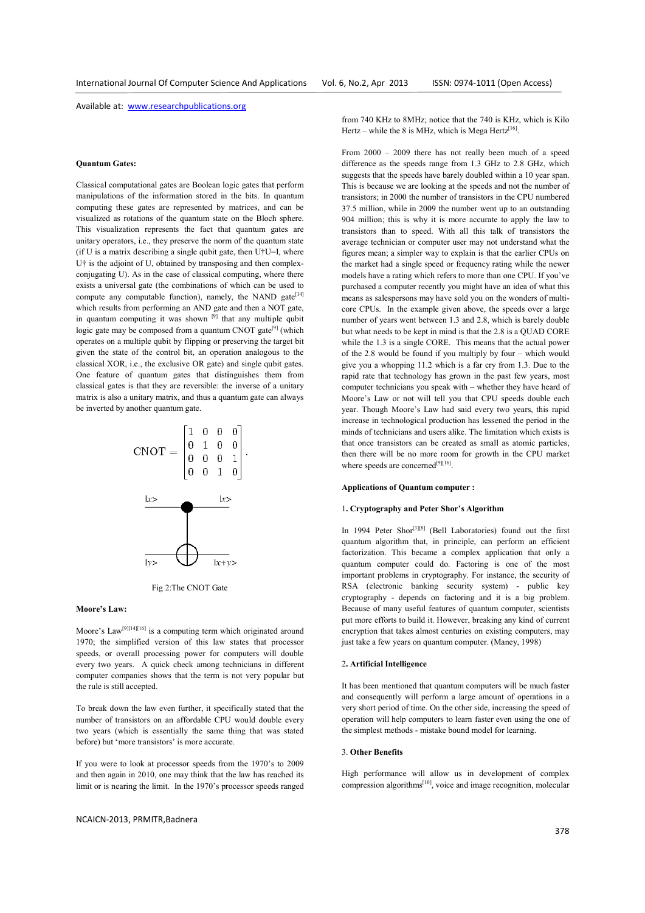## **Quantum Gates:**

Classical computational gates are Boolean logic gates that perform manipulations of the information stored in the bits. In quantum computing these gates are represented by matrices, and can be visualized as rotations of the quantum state on the Bloch sphere. This visualization represents the fact that quantum gates are unitary operators, i.e., they preserve the norm of the quantum state (if U is a matrix describing a single qubit gate, then  $U\uparrow U=I$ , where U† is the adjoint of U, obtained by transposing and then complex conjugating U). As in the case of classical computing, where there exists a universal gate (the combinations of which can be used to conjugating U). As in the case of classical computing, where there exists a universal gate (the combinations of which can be used to compute any computable function), namely, the NAND gate<sup>[14]</sup> which results from performing an AND gate and then a NOT gate, in quantum computing it was shown [9] that any multiple qubit logic gate may be composed from a quantum CNOT gate<sup>[9]</sup> (which operates on a multiple qubit by flipping or preserving the target bit given the state of the control bit, an operation analogous to the classical XOR, i.e., the exclusive OR gate) and single qubit gates. One feature of quantum gates that distinguishes them from classical gates is that they are reversible: the inverse of a unitary matrix is also a unitary matrix, and thus a quantum gate can always be inverted by another quantum gate. aal gates are Boolean logic gates that perform<br>information stored in the bits. In quantum<br>es are represented by matrices, and can be<br>so f the quantum state on the Bloch sphere.<br>epresents the fact that quantum gates are<br>th



Fig 2:The CNOT Gate

# **Moore's Law:**

Moore's Law[9][14][16] is a computing term which originated around 1970; the simplified version of this law states that processor speeds, or overall processing power for computers will double every two years. A quick check among technicians in different computer companies shows that the term is not very popular but the rule is still accepted.

To break down the law even further, it specifically stated that the number of transistors on an affordable CPU would double every two years (which is essentially the same thing that was stated before) but 'more transistors' is more accurate.

If you were to look at processor speeds from the 1970's to 2009 and then again in 2010, one may think that the law has reached its limit or is nearing the limit. In the 1970's processor speeds ranged

NCAICN-2013, PRMITR,Badnera

Hertz – while the 8 is MHz, which is Mega Hertz<sup>[16]</sup>. from 740 KHz to 8MHz; notice that the 740 is KHz, which is Kilo

term is the system of the system of the system of the system of the system of the system of the system of the system of the system of the system of the system of the system of the system of the system of the system of the From 2000 – 2009 there has not really been much of a speed difference as the speeds range from  $1.3$  GHz to  $2.8$  GHz, which suggests that the speeds have barely doubled within a 10 year span. This is because we are looking at the speeds and not the number of transistors; in 2000 the number of transistors in the CPU numbered suggests that the speeds have barely doubled within a 10 year span.<br>This is because we are looking at the speeds and not the number of<br>transistors; in 2000 the number of transistors in the CPU numbered<br>37.5 million, while 904 million; this is why it is more accurate to apply the law to transistors than to speed. With all this talk of transistors the average technician or computer user may not understand what the figures mean; a simpler way to explain is that the earlier CPUs on the market had a single speed or frequency rating while the newer models have a rating which refers to more than one CPU. If you've purchased a computer recently you might have an idea of what this means as salespersons may have sold you on the wonders of multicore CPUs. In the example given above, the speeds over a large number of years went between 1.3 and 2.8, which is barely double but what needs to be kept in mind is that the 2.8 is a QUAD CORE while the 1.3 is a single CORE. This means that the actual power of the 2.8 would be found if you multiply by four give you a whopping 11.2 which is a far cry from 1.3. Due to the rapid rate that technology has grown in the past few years, most give you a whopping 11.2 which is a far cry from 1.3. Due to the rapid rate that technology has grown in the past few years, most computer technicians you speak with – whether they have heard of Moore's Law or not will tell you that CPU speeds double each year. Though Moore's Law had said every two years, this rapid increase in technological production has lessened the period in the minds of technicians and users alike. The limitation which exists is that once transistors can be created as small as atomic particles, then there will be no more room for growth in the CPU market where speeds are concerned<sup>[9][16]</sup>. million; this is why it is more accurate to apply the law to istors than to speed. With all this talk of transistors the age technician or computer user may not understand what the es mean; a simpler way to explain is that between 1.3 and 2.8, which is barely double<br>ept in mind is that the 2.8 is a QUAD CORE<br>le CORE. This means that the actual power<br>bund if you multiply by four – which would or not will tell you that CPU speeds double each<br>Moore's Law had said every two years, this rapid<br>hnological production has lessened the period in the<br>icians and users alike. The limitation which exists is<br>sistors can be c

#### **Applications of Quantum computer : uantum**

#### 1**. Cryptography and Peter Shor's Algorithm**

In 1994 Peter Shor<sup>[3][8]</sup> (Bell Laboratories) found out the first quantum algorithm that, in principle, can perform an efficient factorization. This became a complex application that only a In 1994 Peter Shor<sup>13</sup><sup>[8]</sup> (Bell Laboratories) found out the first quantum algorithm that, in principle, can perform an efficient factorization. This became a complex application that only a quantum computer could do. Fac important problems in cryptography. For instance, the security of important problems in cryptography. For instance, the security of RSA (electronic banking security system) - public key cryptography - depends on factoring and it is a big problem. cryptography - depends on factoring and it is a big problem.<br>Because of many useful features of quantum computer, scientists put more efforts to build it. However, breaking any kind of current encryption that takes almost centuries on existing computers, may just take a few years on quantum computer. (Maney, 1998)

# 2**. Artificial Intelligence**

It has been mentioned that quantum computers will be much faster and consequently will perform a large amount of operations in a very short period of time. On the other side, increasing the speed of operation will help computers to learn faster even using the one of the simplest methods - mistake bound model for learning. ts to build it. However, b<br>t takes almost centuries c<br>years on quantum computelligence<br>ntioned that quantum cor<br>ntly will perform a large<br>od of time. On the other s<br>help computers to learn i<br>ethods - mistake bound m<br>fits<br>f

# 3. **Other Benefits**

High performance will allow us in development of complex  $compression algorithms<sup>[10]</sup>$ , voice and image recognition, molecular